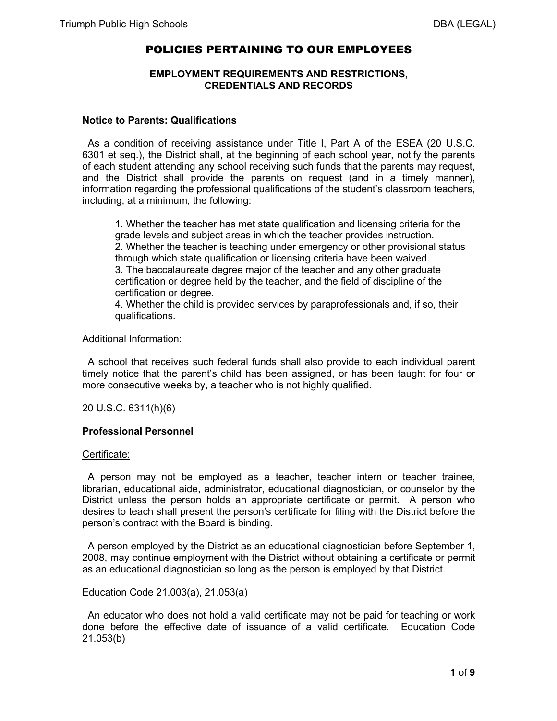# POLICIES PERTAINING TO OUR EMPLOYEES

### **EMPLOYMENT REQUIREMENTS AND RESTRICTIONS, CREDENTIALS AND RECORDS**

#### **Notice to Parents: Qualifications**

 As a condition of receiving assistance under Title I, Part A of the ESEA (20 U.S.C. 6301 et seq.), the District shall, at the beginning of each school year, notify the parents of each student attending any school receiving such funds that the parents may request, and the District shall provide the parents on request (and in a timely manner), information regarding the professional qualifications of the student's classroom teachers, including, at a minimum, the following:

1. Whether the teacher has met state qualification and licensing criteria for the grade levels and subject areas in which the teacher provides instruction. 2. Whether the teacher is teaching under emergency or other provisional status through which state qualification or licensing criteria have been waived. 3. The baccalaureate degree major of the teacher and any other graduate certification or degree held by the teacher, and the field of discipline of the certification or degree.

4. Whether the child is provided services by paraprofessionals and, if so, their qualifications.

#### Additional Information:

 A school that receives such federal funds shall also provide to each individual parent timely notice that the parent's child has been assigned, or has been taught for four or more consecutive weeks by, a teacher who is not highly qualified.

20 U.S.C. 6311(h)(6)

### **Professional Personnel**

### Certificate:

 A person may not be employed as a teacher, teacher intern or teacher trainee, librarian, educational aide, administrator, educational diagnostician, or counselor by the District unless the person holds an appropriate certificate or permit. A person who desires to teach shall present the person's certificate for filing with the District before the person's contract with the Board is binding.

 A person employed by the District as an educational diagnostician before September 1, 2008, may continue employment with the District without obtaining a certificate or permit as an educational diagnostician so long as the person is employed by that District.

Education Code 21.003(a), 21.053(a)

 An educator who does not hold a valid certificate may not be paid for teaching or work done before the effective date of issuance of a valid certificate. Education Code 21.053(b)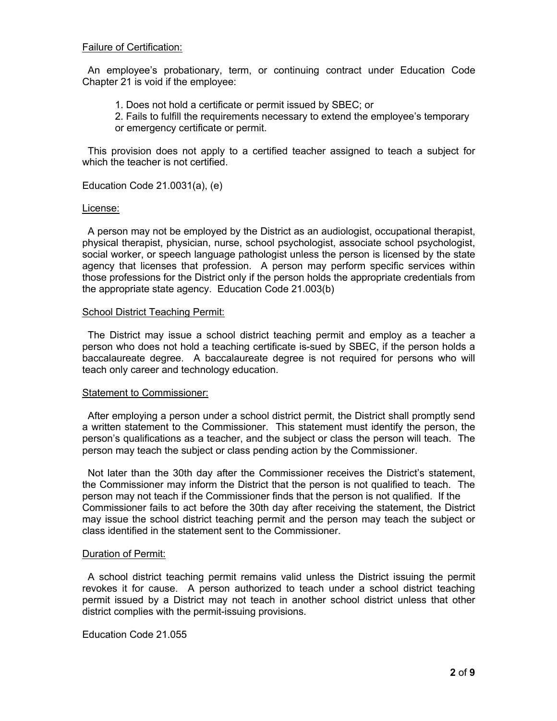#### Failure of Certification:

 An employee's probationary, term, or continuing contract under Education Code Chapter 21 is void if the employee:

- 1. Does not hold a certificate or permit issued by SBEC; or
- 2. Fails to fulfill the requirements necessary to extend the employee's temporary or emergency certificate or permit.

 This provision does not apply to a certified teacher assigned to teach a subject for which the teacher is not certified.

Education Code 21.0031(a), (e)

#### License:

 A person may not be employed by the District as an audiologist, occupational therapist, physical therapist, physician, nurse, school psychologist, associate school psychologist, social worker, or speech language pathologist unless the person is licensed by the state agency that licenses that profession. A person may perform specific services within those professions for the District only if the person holds the appropriate credentials from the appropriate state agency. Education Code 21.003(b)

#### School District Teaching Permit:

 The District may issue a school district teaching permit and employ as a teacher a person who does not hold a teaching certificate is-sued by SBEC, if the person holds a baccalaureate degree. A baccalaureate degree is not required for persons who will teach only career and technology education.

#### Statement to Commissioner:

 After employing a person under a school district permit, the District shall promptly send a written statement to the Commissioner. This statement must identify the person, the person's qualifications as a teacher, and the subject or class the person will teach. The person may teach the subject or class pending action by the Commissioner.

 Not later than the 30th day after the Commissioner receives the District's statement, the Commissioner may inform the District that the person is not qualified to teach. The person may not teach if the Commissioner finds that the person is not qualified. If the Commissioner fails to act before the 30th day after receiving the statement, the District may issue the school district teaching permit and the person may teach the subject or class identified in the statement sent to the Commissioner.

### Duration of Permit:

 A school district teaching permit remains valid unless the District issuing the permit revokes it for cause. A person authorized to teach under a school district teaching permit issued by a District may not teach in another school district unless that other district complies with the permit-issuing provisions.

Education Code 21.055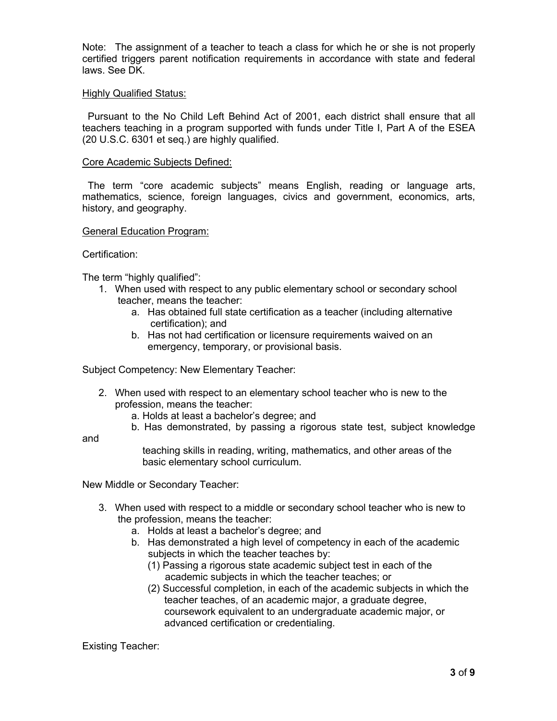Note: The assignment of a teacher to teach a class for which he or she is not properly certified triggers parent notification requirements in accordance with state and federal laws. See DK.

### Highly Qualified Status:

 Pursuant to the No Child Left Behind Act of 2001, each district shall ensure that all teachers teaching in a program supported with funds under Title I, Part A of the ESEA (20 U.S.C. 6301 et seq.) are highly qualified.

# Core Academic Subjects Defined:

 The term "core academic subjects" means English, reading or language arts, mathematics, science, foreign languages, civics and government, economics, arts, history, and geography.

### General Education Program:

# Certification:

The term "highly qualified":

- 1. When used with respect to any public elementary school or secondary school teacher, means the teacher:
	- a. Has obtained full state certification as a teacher (including alternative certification); and
	- b. Has not had certification or licensure requirements waived on an emergency, temporary, or provisional basis.

Subject Competency: New Elementary Teacher:

- 2. When used with respect to an elementary school teacher who is new to the profession, means the teacher:
	- a. Holds at least a bachelor's degree; and
	- b. Has demonstrated, by passing a rigorous state test, subject knowledge

and

 teaching skills in reading, writing, mathematics, and other areas of the basic elementary school curriculum.

New Middle or Secondary Teacher:

- 3. When used with respect to a middle or secondary school teacher who is new to the profession, means the teacher:
	- a. Holds at least a bachelor's degree; and
	- b. Has demonstrated a high level of competency in each of the academic subjects in which the teacher teaches by:
		- (1) Passing a rigorous state academic subject test in each of the academic subjects in which the teacher teaches; or
		- (2) Successful completion, in each of the academic subjects in which the teacher teaches, of an academic major, a graduate degree, coursework equivalent to an undergraduate academic major, or advanced certification or credentialing.

Existing Teacher: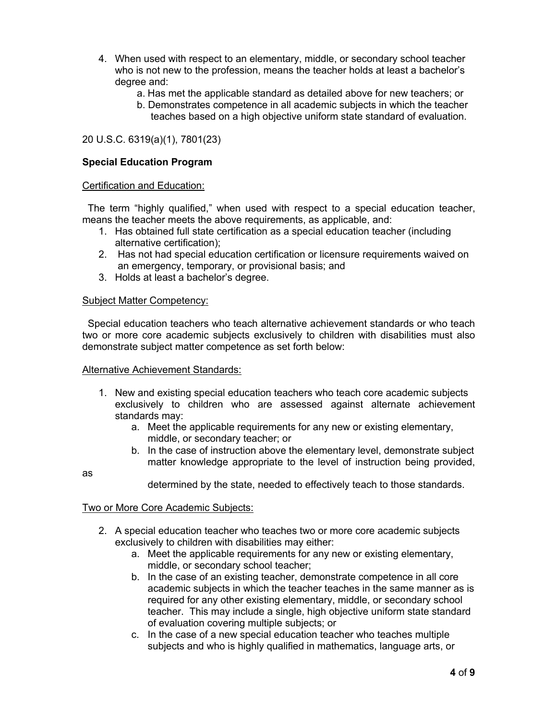- 4. When used with respect to an elementary, middle, or secondary school teacher who is not new to the profession, means the teacher holds at least a bachelor's degree and:
	- a. Has met the applicable standard as detailed above for new teachers; or
	- b. Demonstrates competence in all academic subjects in which the teacher teaches based on a high objective uniform state standard of evaluation.

# 20 U.S.C. 6319(a)(1), 7801(23)

# **Special Education Program**

#### Certification and Education:

 The term "highly qualified," when used with respect to a special education teacher, means the teacher meets the above requirements, as applicable, and:

- 1. Has obtained full state certification as a special education teacher (including alternative certification);
- 2. Has not had special education certification or licensure requirements waived on an emergency, temporary, or provisional basis; and
- 3. Holds at least a bachelor's degree.

#### Subject Matter Competency:

 Special education teachers who teach alternative achievement standards or who teach two or more core academic subjects exclusively to children with disabilities must also demonstrate subject matter competence as set forth below:

### Alternative Achievement Standards:

- 1. New and existing special education teachers who teach core academic subjects exclusively to children who are assessed against alternate achievement standards may:
	- a. Meet the applicable requirements for any new or existing elementary, middle, or secondary teacher; or
	- b. In the case of instruction above the elementary level, demonstrate subject matter knowledge appropriate to the level of instruction being provided,

as

determined by the state, needed to effectively teach to those standards.

### Two or More Core Academic Subjects:

- 2. A special education teacher who teaches two or more core academic subjects exclusively to children with disabilities may either:
	- a. Meet the applicable requirements for any new or existing elementary, middle, or secondary school teacher;
	- b. In the case of an existing teacher, demonstrate competence in all core academic subjects in which the teacher teaches in the same manner as is required for any other existing elementary, middle, or secondary school teacher. This may include a single, high objective uniform state standard of evaluation covering multiple subjects; or
	- c. In the case of a new special education teacher who teaches multiple subjects and who is highly qualified in mathematics, language arts, or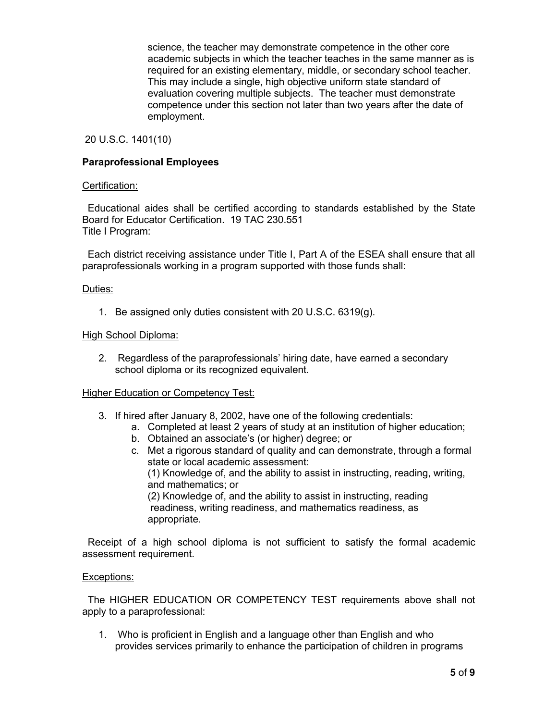science, the teacher may demonstrate competence in the other core academic subjects in which the teacher teaches in the same manner as is required for an existing elementary, middle, or secondary school teacher. This may include a single, high objective uniform state standard of evaluation covering multiple subjects. The teacher must demonstrate competence under this section not later than two years after the date of employment.

20 U.S.C. 1401(10)

# **Paraprofessional Employees**

### Certification:

 Educational aides shall be certified according to standards established by the State Board for Educator Certification. 19 TAC 230.551 Title I Program:

 Each district receiving assistance under Title I, Part A of the ESEA shall ensure that all paraprofessionals working in a program supported with those funds shall:

### Duties:

1. Be assigned only duties consistent with 20 U.S.C. 6319(g).

### High School Diploma:

2. Regardless of the paraprofessionals' hiring date, have earned a secondary school diploma or its recognized equivalent.

### Higher Education or Competency Test:

- 3. If hired after January 8, 2002, have one of the following credentials:
	- a. Completed at least 2 years of study at an institution of higher education;
	- b. Obtained an associate's (or higher) degree; or
	- c. Met a rigorous standard of quality and can demonstrate, through a formal state or local academic assessment:

 (1) Knowledge of, and the ability to assist in instructing, reading, writing, and mathematics; or

 (2) Knowledge of, and the ability to assist in instructing, reading readiness, writing readiness, and mathematics readiness, as appropriate.

 Receipt of a high school diploma is not sufficient to satisfy the formal academic assessment requirement.

### Exceptions:

 The HIGHER EDUCATION OR COMPETENCY TEST requirements above shall not apply to a paraprofessional:

1. Who is proficient in English and a language other than English and who provides services primarily to enhance the participation of children in programs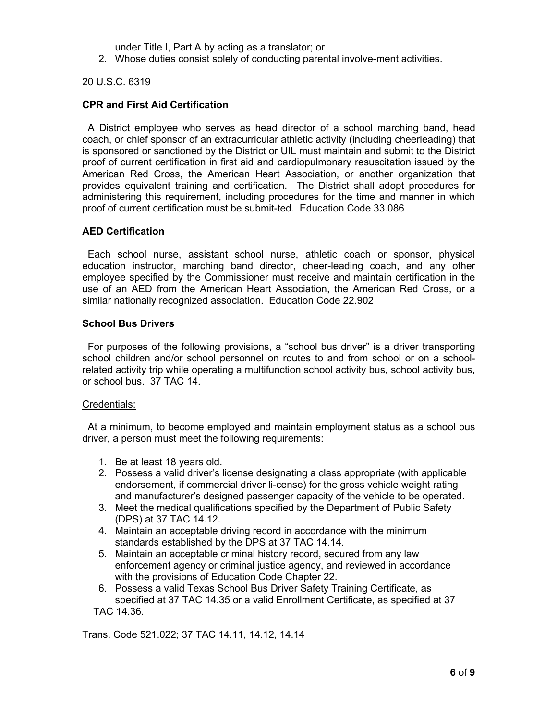under Title I, Part A by acting as a translator; or

2. Whose duties consist solely of conducting parental involve-ment activities.

20 U.S.C. 6319

# **CPR and First Aid Certification**

 A District employee who serves as head director of a school marching band, head coach, or chief sponsor of an extracurricular athletic activity (including cheerleading) that is sponsored or sanctioned by the District or UIL must maintain and submit to the District proof of current certification in first aid and cardiopulmonary resuscitation issued by the American Red Cross, the American Heart Association, or another organization that provides equivalent training and certification. The District shall adopt procedures for administering this requirement, including procedures for the time and manner in which proof of current certification must be submit-ted. Education Code 33.086

# **AED Certification**

 Each school nurse, assistant school nurse, athletic coach or sponsor, physical education instructor, marching band director, cheer-leading coach, and any other employee specified by the Commissioner must receive and maintain certification in the use of an AED from the American Heart Association, the American Red Cross, or a similar nationally recognized association. Education Code 22.902

# **School Bus Drivers**

 For purposes of the following provisions, a "school bus driver" is a driver transporting school children and/or school personnel on routes to and from school or on a schoolrelated activity trip while operating a multifunction school activity bus, school activity bus, or school bus. 37 TAC 14.

### Credentials:

 At a minimum, to become employed and maintain employment status as a school bus driver, a person must meet the following requirements:

- 1. Be at least 18 years old.
- 2. Possess a valid driver's license designating a class appropriate (with applicable endorsement, if commercial driver li-cense) for the gross vehicle weight rating and manufacturer's designed passenger capacity of the vehicle to be operated.
- 3. Meet the medical qualifications specified by the Department of Public Safety (DPS) at 37 TAC 14.12.
- 4. Maintain an acceptable driving record in accordance with the minimum standards established by the DPS at 37 TAC 14.14.
- 5. Maintain an acceptable criminal history record, secured from any law enforcement agency or criminal justice agency, and reviewed in accordance with the provisions of Education Code Chapter 22.
- 6. Possess a valid Texas School Bus Driver Safety Training Certificate, as specified at 37 TAC 14.35 or a valid Enrollment Certificate, as specified at 37 TAC 14.36.

Trans. Code 521.022; 37 TAC 14.11, 14.12, 14.14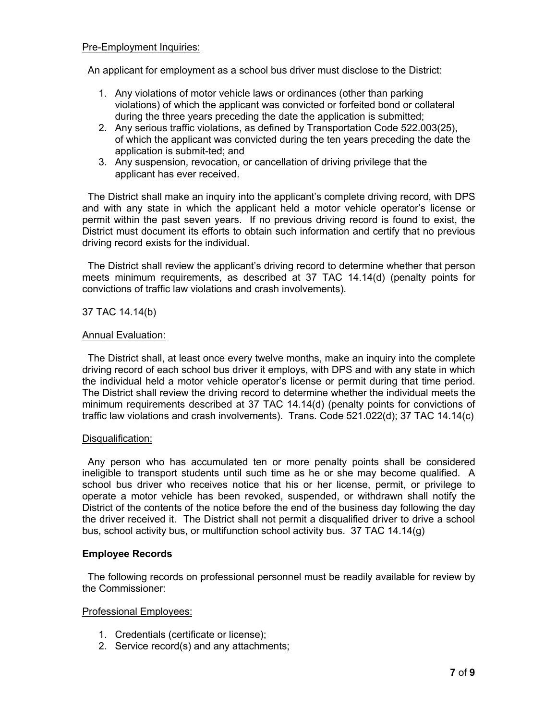# Pre-Employment Inquiries:

An applicant for employment as a school bus driver must disclose to the District:

- 1. Any violations of motor vehicle laws or ordinances (other than parking violations) of which the applicant was convicted or forfeited bond or collateral during the three years preceding the date the application is submitted;
- 2. Any serious traffic violations, as defined by Transportation Code 522.003(25), of which the applicant was convicted during the ten years preceding the date the application is submit-ted; and
- 3. Any suspension, revocation, or cancellation of driving privilege that the applicant has ever received.

 The District shall make an inquiry into the applicant's complete driving record, with DPS and with any state in which the applicant held a motor vehicle operator's license or permit within the past seven years. If no previous driving record is found to exist, the District must document its efforts to obtain such information and certify that no previous driving record exists for the individual.

 The District shall review the applicant's driving record to determine whether that person meets minimum requirements, as described at 37 TAC 14.14(d) (penalty points for convictions of traffic law violations and crash involvements).

# 37 TAC 14.14(b)

# Annual Evaluation:

 The District shall, at least once every twelve months, make an inquiry into the complete driving record of each school bus driver it employs, with DPS and with any state in which the individual held a motor vehicle operator's license or permit during that time period. The District shall review the driving record to determine whether the individual meets the minimum requirements described at 37 TAC 14.14(d) (penalty points for convictions of traffic law violations and crash involvements). Trans. Code 521.022(d); 37 TAC 14.14(c)

### Disqualification:

 Any person who has accumulated ten or more penalty points shall be considered ineligible to transport students until such time as he or she may become qualified. A school bus driver who receives notice that his or her license, permit, or privilege to operate a motor vehicle has been revoked, suspended, or withdrawn shall notify the District of the contents of the notice before the end of the business day following the day the driver received it. The District shall not permit a disqualified driver to drive a school bus, school activity bus, or multifunction school activity bus. 37 TAC 14.14(g)

# **Employee Records**

 The following records on professional personnel must be readily available for review by the Commissioner:

### Professional Employees:

- 1. Credentials (certificate or license);
- 2. Service record(s) and any attachments;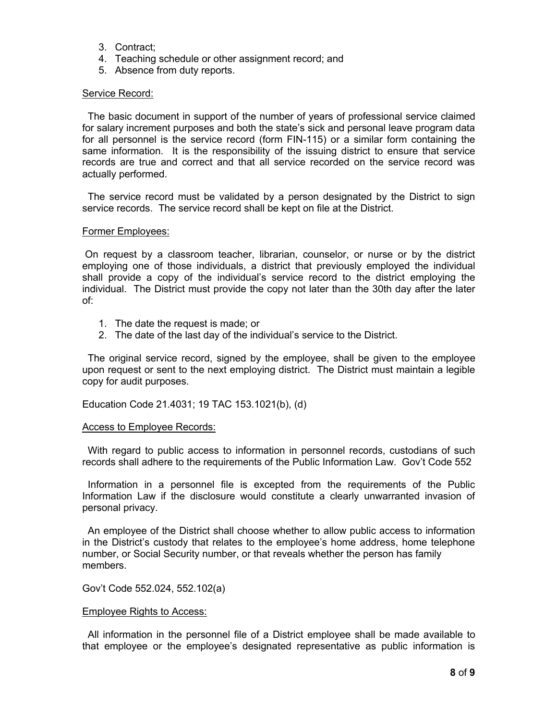- 3. Contract;
- 4. Teaching schedule or other assignment record; and
- 5. Absence from duty reports.

### Service Record:

 The basic document in support of the number of years of professional service claimed for salary increment purposes and both the state's sick and personal leave program data for all personnel is the service record (form FIN-115) or a similar form containing the same information. It is the responsibility of the issuing district to ensure that service records are true and correct and that all service recorded on the service record was actually performed.

 The service record must be validated by a person designated by the District to sign service records. The service record shall be kept on file at the District.

#### Former Employees:

On request by a classroom teacher, librarian, counselor, or nurse or by the district employing one of those individuals, a district that previously employed the individual shall provide a copy of the individual's service record to the district employing the individual. The District must provide the copy not later than the 30th day after the later of:

- 1. The date the request is made; or
- 2. The date of the last day of the individual's service to the District.

 The original service record, signed by the employee, shall be given to the employee upon request or sent to the next employing district. The District must maintain a legible copy for audit purposes.

Education Code 21.4031; 19 TAC 153.1021(b), (d)

#### Access to Employee Records:

 With regard to public access to information in personnel records, custodians of such records shall adhere to the requirements of the Public Information Law. Gov't Code 552

 Information in a personnel file is excepted from the requirements of the Public Information Law if the disclosure would constitute a clearly unwarranted invasion of personal privacy.

 An employee of the District shall choose whether to allow public access to information in the District's custody that relates to the employee's home address, home telephone number, or Social Security number, or that reveals whether the person has family members.

Gov't Code 552.024, 552.102(a)

#### Employee Rights to Access:

 All information in the personnel file of a District employee shall be made available to that employee or the employee's designated representative as public information is